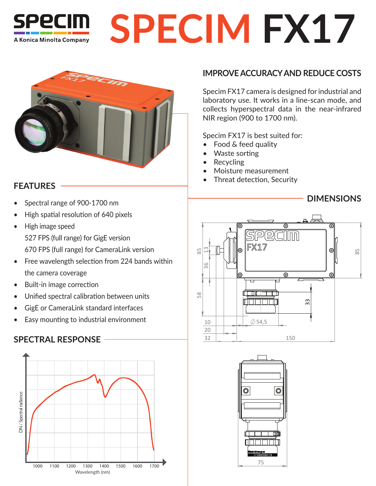

## **SPECIM FX17**



## **FEATURES**

- Spectral range of 900-1700 nm
- High spatial resolution of 640 pixels
- High image speed 527 FPS (full range) for GigE version 670 FPS (full range) for CameraLink version
- Free wavelength selection from 224 bands within the camera coverage
- Built-in image correction
- Unified spectral calibration between units
- GigE or CameraLink standard interfaces
- Easy mounting to industrial environment

## **SPECTRAL RESPONSE**



## **IMPROVE ACCURACY AND REDUCE COSTS**

Specim FX17 camera is designed for industrial and laboratory use. It works in a line-scan mode, and collects hyperspectral data in the near-infrared NIR region (900 to 1700 nm).

Specim FX17 is best suited for:

- Food & feed quality
- Waste sorting
- **Recycling**
- Moisture measurement
- Threat detection, Security